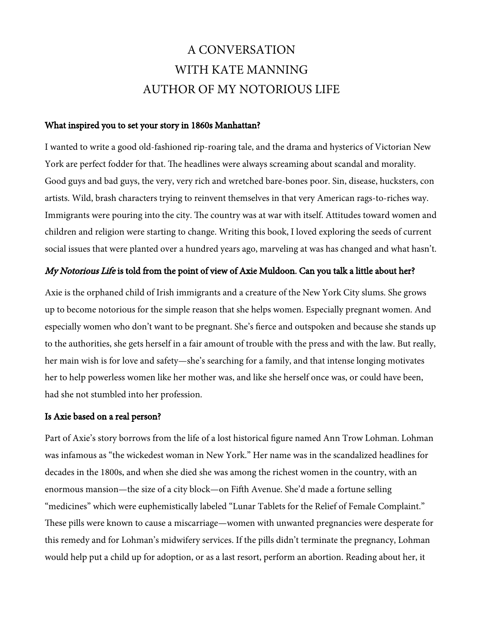# A CONVERSATION WITH KATE MANNING AUTHOR OF MY NOTORIOUS LIFE

### What inspired you to set your story in 1860s Manhattan?

I wanted to write a good old-fashioned rip-roaring tale, and the drama and hysterics of Victorian New York are perfect fodder for that. The headlines were always screaming about scandal and morality. Good guys and bad guys, the very, very rich and wretched bare-bones poor. Sin, disease, hucksters, con artists. Wild, brash characters trying to reinvent themselves in that very American rags-to-riches way. Immigrants were pouring into the city. The country was at war with itself. Attitudes toward women and children and religion were starting to change. Writing this book, I loved exploring the seeds of current social issues that were planted over a hundred years ago, marveling at was has changed and what hasn't.

### My Notorious Life is told from the point of view of Axie Muldoon. Can you talk a little about her?

Axie is the orphaned child of Irish immigrants and a creature of the New York City slums. She grows up to become notorious for the simple reason that she helps women. Especially pregnant women. And especially women who don't want to be pregnant. She's ferce and outspoken and because she stands up to the authorities, she gets herself in a fair amount of trouble with the press and with the law. But really, her main wish is for love and safety—she's searching for a family, and that intense longing motivates her to help powerless women like her mother was, and like she herself once was, or could have been, had she not stumbled into her profession.

### Is Axie based on a real person?

Part of Axie's story borrows from the life of a lost historical fgure named Ann Trow Lohman. Lohman was infamous as "the wickedest woman in New York." Her name was in the scandalized headlines for decades in the 1800s, and when she died she was among the richest women in the country, with an enormous mansion—the size of a city block—on Fifh Avenue. She'd made a fortune selling "medicines" which were euphemistically labeled "Lunar Tablets for the Relief of Female Complaint." These pills were known to cause a miscarriage—women with unwanted pregnancies were desperate for this remedy and for Lohman's midwifery services. If the pills didn't terminate the pregnancy, Lohman would help put a child up for adoption, or as a last resort, perform an abortion. Reading about her, it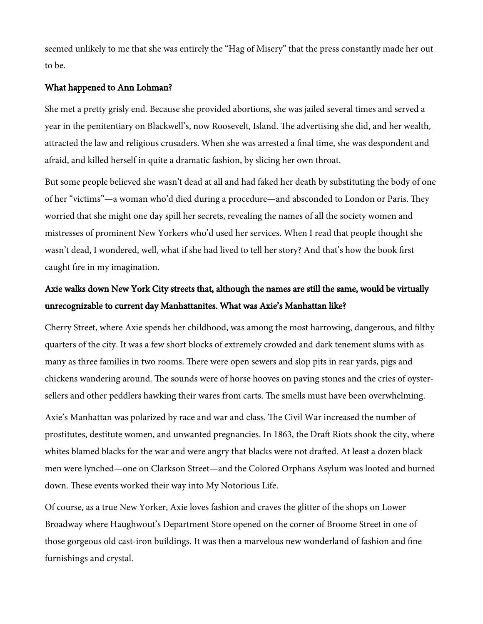seemed unlikely to me that she was entirely the "Hag of Misery" that the press constantly made her out to be.

### What happened to Ann Lohman?

She met a pretty grisly end. Because she provided abortions, she was jailed several times and served a year in the penitentiary on Blackwell's, now Roosevelt, Island. The advertising she did, and her wealth, attracted the law and religious crusaders. When she was arrested a fnal time, she was despondent and afraid, and killed herself in quite a dramatic fashion, by slicing her own throat.

But some people believed she wasn't dead at all and had faked her death by substituting the body of one of her "victims"—a woman who'd died during a procedure—and absconded to London or Paris. They worried that she might one day spill her secrets, revealing the names of all the society women and mistresses of prominent New Yorkers who'd used her services. When I read that people thought she wasn't dead, I wondered, well, what if she had lived to tell her story? And that's how the book frst caught fre in my imagination.

# Axie walks down New York City streets that, although the names are still the same, would be virtually unrecognizable to current day Manhattanites. What was Axie's Manhattan like?

Cherry Street, where Axie spends her childhood, was among the most harrowing, dangerous, and flthy quarters of the city. It was a few short blocks of extremely crowded and dark tenement slums with as many as three families in two rooms. There were open sewers and slop pits in rear yards, pigs and chickens wandering around. The sounds were of horse hooves on paving stones and the cries of oystersellers and other peddlers hawking their wares from carts. The smells must have been overwhelming.

Axie's Manhattan was polarized by race and war and class. The Civil War increased the number of prostitutes, destitute women, and unwanted pregnancies. In 1863, the Draft Riots shook the city, where whites blamed blacks for the war and were angry that blacks were not drafed. At least a dozen black men were lynched—one on Clarkson Street—and the Colored Orphans Asylum was looted and burned down. These events worked their way into My Notorious Life.

Of course, as a true New Yorker, Axie loves fashion and craves the glitter of the shops on Lower Broadway where Haughwout's Department Store opened on the corner of Broome Street in one of those gorgeous old cast-iron buildings. It was then a marvelous new wonderland of fashion and fne furnishings and crystal.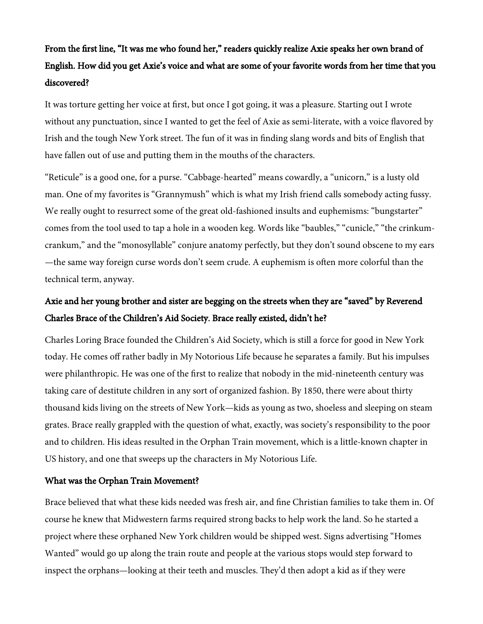# From the first line, "It was me who found her," readers quickly realize Axie speaks her own brand of English. How did you get Axie's voice and what are some of your favorite words from her time that you discovered?

It was torture getting her voice at frst, but once I got going, it was a pleasure. Starting out I wrote without any punctuation, since I wanted to get the feel of Axie as semi-literate, with a voice favored by Irish and the tough New York street. The fun of it was in finding slang words and bits of English that have fallen out of use and putting them in the mouths of the characters.

"Reticule" is a good one, for a purse. "Cabbage-hearted" means cowardly, a "unicorn," is a lusty old man. One of my favorites is "Grannymush" which is what my Irish friend calls somebody acting fussy. We really ought to resurrect some of the great old-fashioned insults and euphemisms: "bungstarter" comes from the tool used to tap a hole in a wooden keg. Words like "baubles," "cunicle," "the crinkumcrankum," and the "monosyllable" conjure anatomy perfectly, but they don't sound obscene to my ears —the same way foreign curse words don't seem crude. A euphemism is ofen more colorful than the technical term, anyway.

# Axie and her young brother and sister are begging on the streets when they are "saved" by Reverend Charles Brace of the Children's Aid Society. Brace really existed, didn't he?

Charles Loring Brace founded the Children's Aid Society, which is still a force for good in New York today. He comes off rather badly in My Notorious Life because he separates a family. But his impulses were philanthropic. He was one of the frst to realize that nobody in the mid-nineteenth century was taking care of destitute children in any sort of organized fashion. By 1850, there were about thirty thousand kids living on the streets of New York—kids as young as two, shoeless and sleeping on steam grates. Brace really grappled with the question of what, exactly, was society's responsibility to the poor and to children. His ideas resulted in the Orphan Train movement, which is a little-known chapter in US history, and one that sweeps up the characters in My Notorious Life.

### What was the Orphan Train Movement?

Brace believed that what these kids needed was fresh air, and fne Christian families to take them in. Of course he knew that Midwestern farms required strong backs to help work the land. So he started a project where these orphaned New York children would be shipped west. Signs advertising "Homes Wanted" would go up along the train route and people at the various stops would step forward to inspect the orphans—looking at their teeth and muscles. They'd then adopt a kid as if they were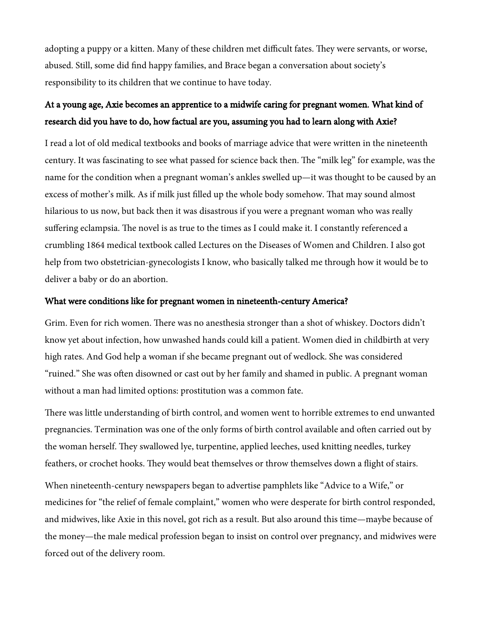adopting a puppy or a kitten. Many of these children met difficult fates. They were servants, or worse, abused. Still, some did fnd happy families, and Brace began a conversation about society's responsibility to its children that we continue to have today.

### At a young age, Axie becomes an apprentice to a midwife caring for pregnant women. What kind of research did you have to do, how factual are you, assuming you had to learn along with Axie?

I read a lot of old medical textbooks and books of marriage advice that were written in the nineteenth century. It was fascinating to see what passed for science back then. The "milk leg" for example, was the name for the condition when a pregnant woman's ankles swelled up—it was thought to be caused by an excess of mother's milk. As if milk just filled up the whole body somehow. That may sound almost hilarious to us now, but back then it was disastrous if you were a pregnant woman who was really suffering eclampsia. The novel is as true to the times as I could make it. I constantly referenced a crumbling 1864 medical textbook called Lectures on the Diseases of Women and Children. I also got help from two obstetrician-gynecologists I know, who basically talked me through how it would be to deliver a baby or do an abortion.

### What were conditions like for pregnant women in nineteenth-century America?

Grim. Even for rich women. There was no anesthesia stronger than a shot of whiskey. Doctors didn't know yet about infection, how unwashed hands could kill a patient. Women died in childbirth at very high rates. And God help a woman if she became pregnant out of wedlock. She was considered "ruined." She was often disowned or cast out by her family and shamed in public. A pregnant woman without a man had limited options: prostitution was a common fate.

There was little understanding of birth control, and women went to horrible extremes to end unwanted pregnancies. Termination was one of the only forms of birth control available and ofen carried out by the woman herself. They swallowed lye, turpentine, applied leeches, used knitting needles, turkey feathers, or crochet hooks. They would beat themselves or throw themselves down a flight of stairs.

When nineteenth-century newspapers began to advertise pamphlets like "Advice to a Wife," or medicines for "the relief of female complaint," women who were desperate for birth control responded, and midwives, like Axie in this novel, got rich as a result. But also around this time—maybe because of the money—the male medical profession began to insist on control over pregnancy, and midwives were forced out of the delivery room.